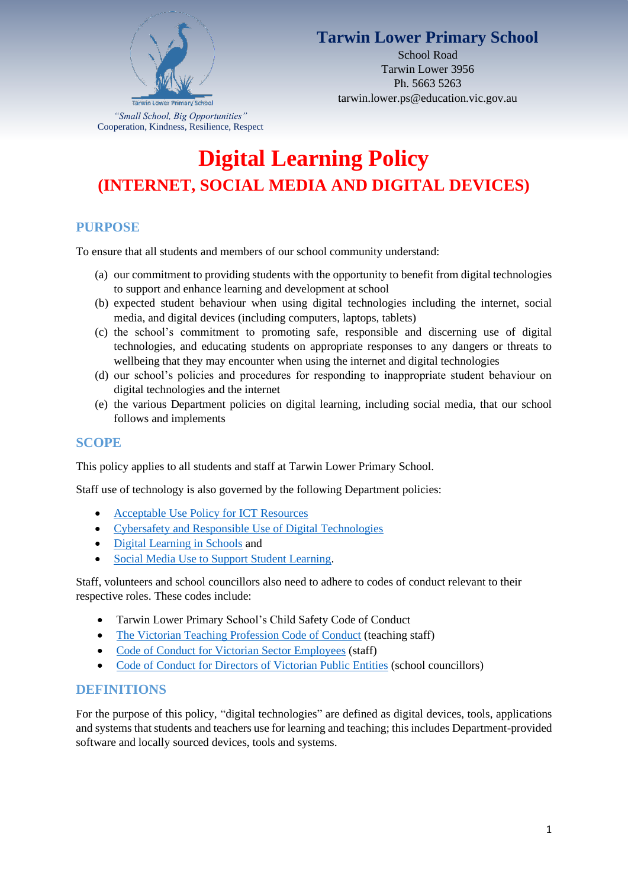

### **Tarwin Lower Primary School**

School Road Tarwin Lower 3956 Ph. 5663 5263 tarwin.lower.ps@education.vic.gov.au

# **Digital Learning Policy (INTERNET, SOCIAL MEDIA AND DIGITAL DEVICES)**

### **PURPOSE**

To ensure that all students and members of our school community understand:

- (a) our commitment to providing students with the opportunity to benefit from digital technologies to support and enhance learning and development at school
- (b) expected student behaviour when using digital technologies including the internet, social media, and digital devices (including computers, laptops, tablets)
- (c) the school's commitment to promoting safe, responsible and discerning use of digital technologies, and educating students on appropriate responses to any dangers or threats to wellbeing that they may encounter when using the internet and digital technologies
- (d) our school's policies and procedures for responding to inappropriate student behaviour on digital technologies and the internet
- (e) the various Department policies on digital learning, including social media, that our school follows and implements

#### **SCOPE**

This policy applies to all students and staff at Tarwin Lower Primary School.

Staff use of technology is also governed by the following Department policies:

- [Acceptable Use Policy](https://www2.education.vic.gov.au/pal/ict-acceptable-use/overview) for ICT Resources
- [Cybersafety and Responsible Use of Digital Technologies](https://www2.education.vic.gov.au/pal/cybersafety/policy)
- [Digital Learning in Schools](https://www2.education.vic.gov.au/pal/digital-learning/policy) and
- [Social Media Use to Support Student Learning.](https://www2.education.vic.gov.au/pal/social-media/policy)

Staff, volunteers and school councillors also need to adhere to codes of conduct relevant to their respective roles. These codes include:

- Tarwin Lower Primary School's Child Safety Code of Conduct
- [The Victorian Teaching Profession Code of Conduct](https://www.vit.vic.edu.au/__data/assets/pdf_file/0018/35604/Code-of-Conduct-2016.pdf) (teaching staff)
- [Code of Conduct for Victorian Sector Employees](https://www2.education.vic.gov.au/pal/code-conduct/overview) (staff)
- [Code of Conduct for Directors of Victorian Public Entities](https://www2.education.vic.gov.au/pal/school-council-conduct/policy) (school councillors)

#### **DEFINITIONS**

For the purpose of this policy, "digital technologies" are defined as digital devices, tools, applications and systems that students and teachers use for learning and teaching; this includes Department-provided software and locally sourced devices, tools and systems.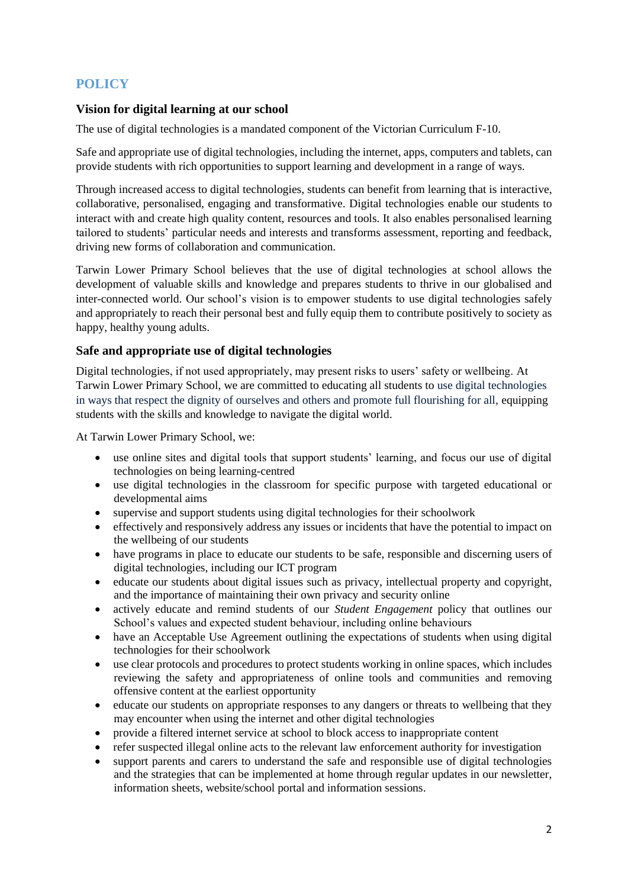### **POLICY**

#### **Vision for digital learning at our school**

The use of digital technologies is a mandated component of the Victorian Curriculum F-10.

Safe and appropriate use of digital technologies, including the internet, apps, computers and tablets, can provide students with rich opportunities to support learning and development in a range of ways.

Through increased access to digital technologies, students can benefit from learning that is interactive, collaborative, personalised, engaging and transformative. Digital technologies enable our students to interact with and create high quality content, resources and tools. It also enables personalised learning tailored to students' particular needs and interests and transforms assessment, reporting and feedback, driving new forms of collaboration and communication.

Tarwin Lower Primary School believes that the use of digital technologies at school allows the development of valuable skills and knowledge and prepares students to thrive in our globalised and inter-connected world. Our school's vision is to empower students to use digital technologies safely and appropriately to reach their personal best and fully equip them to contribute positively to society as happy, healthy young adults.

#### **Safe and appropriate use of digital technologies**

Digital technologies, if not used appropriately, may present risks to users' safety or wellbeing. At Tarwin Lower Primary School, we are committed to educating all students to use digital technologies in ways that respect the dignity of ourselves and others and promote full flourishing for all, equipping students with the skills and knowledge to navigate the digital world.

At Tarwin Lower Primary School, we:

- use online sites and digital tools that support students' learning, and focus our use of digital technologies on being learning-centred
- use digital technologies in the classroom for specific purpose with targeted educational or developmental aims
- supervise and support students using digital technologies for their schoolwork
- effectively and responsively address any issues or incidents that have the potential to impact on the wellbeing of our students
- have programs in place to educate our students to be safe, responsible and discerning users of digital technologies, including our ICT program
- educate our students about digital issues such as privacy, intellectual property and copyright, and the importance of maintaining their own privacy and security online
- actively educate and remind students of our *Student Engagement* policy that outlines our School's values and expected student behaviour, including online behaviours
- have an Acceptable Use Agreement outlining the expectations of students when using digital technologies for their schoolwork
- use clear protocols and procedures to protect students working in online spaces, which includes reviewing the safety and appropriateness of online tools and communities and removing offensive content at the earliest opportunity
- educate our students on appropriate responses to any dangers or threats to well being that they may encounter when using the internet and other digital technologies
- provide a filtered internet service at school to block access to inappropriate content
- refer suspected illegal online acts to the relevant law enforcement authority for investigation
- support parents and carers to understand the safe and responsible use of digital technologies and the strategies that can be implemented at home through regular updates in our newsletter, information sheets, website/school portal and information sessions.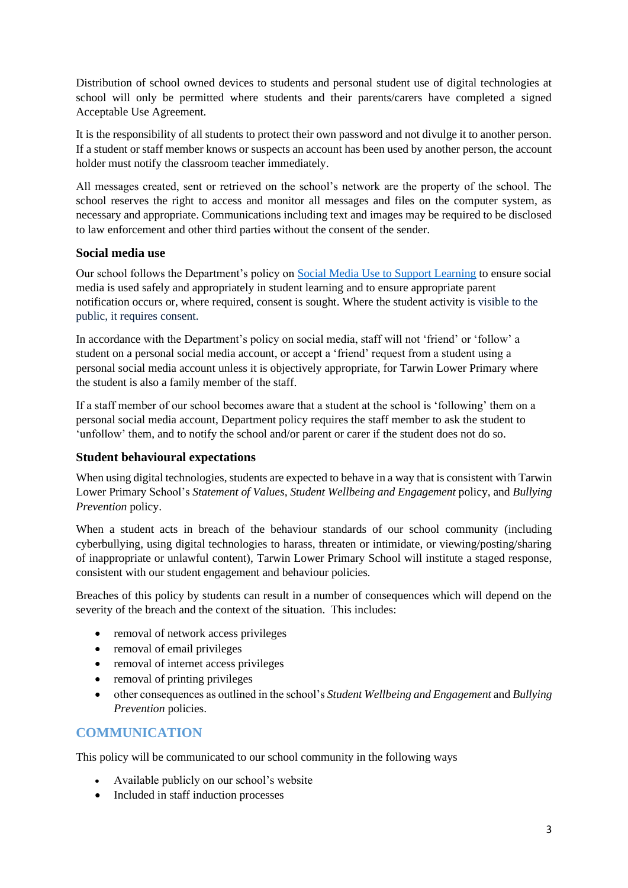Distribution of school owned devices to students and personal student use of digital technologies at school will only be permitted where students and their parents/carers have completed a signed Acceptable Use Agreement.

It is the responsibility of all students to protect their own password and not divulge it to another person. If a student or staff member knows or suspects an account has been used by another person, the account holder must notify the classroom teacher immediately.

All messages created, sent or retrieved on the school's network are the property of the school. The school reserves the right to access and monitor all messages and files on the computer system, as necessary and appropriate. Communications including text and images may be required to be disclosed to law enforcement and other third parties without the consent of the sender.

#### **Social media use**

Our school follows the Department's policy on [Social Media Use to Support Learning](https://www2.education.vic.gov.au/pal/social-media/policy) to ensure social media is used safely and appropriately in student learning and to ensure appropriate parent notification occurs or, where required, consent is sought. Where the student activity is visible to the public, it requires consent.

In accordance with the Department's policy on social media, staff will not 'friend' or 'follow' a student on a personal social media account, or accept a 'friend' request from a student using a personal social media account unless it is objectively appropriate, for Tarwin Lower Primary where the student is also a family member of the staff.

If a staff member of our school becomes aware that a student at the school is 'following' them on a personal social media account, Department policy requires the staff member to ask the student to 'unfollow' them, and to notify the school and/or parent or carer if the student does not do so.

#### **Student behavioural expectations**

When using digital technologies, students are expected to behave in a way that is consistent with Tarwin Lower Primary School's *Statement of Values, Student Wellbeing and Engagement* policy, and *Bullying Prevention* policy.

When a student acts in breach of the behaviour standards of our school community (including cyberbullying, using digital technologies to harass, threaten or intimidate, or viewing/posting/sharing of inappropriate or unlawful content), Tarwin Lower Primary School will institute a staged response, consistent with our student engagement and behaviour policies*.*

Breaches of this policy by students can result in a number of consequences which will depend on the severity of the breach and the context of the situation. This includes:

- removal of network access privileges
- removal of email privileges
- removal of internet access privileges
- removal of printing privileges
- other consequences as outlined in the school's *Student Wellbeing and Engagement* and *Bullying Prevention* policies.

#### **COMMUNICATION**

This policy will be communicated to our school community in the following ways

- Available publicly on our school's website
- Included in staff induction processes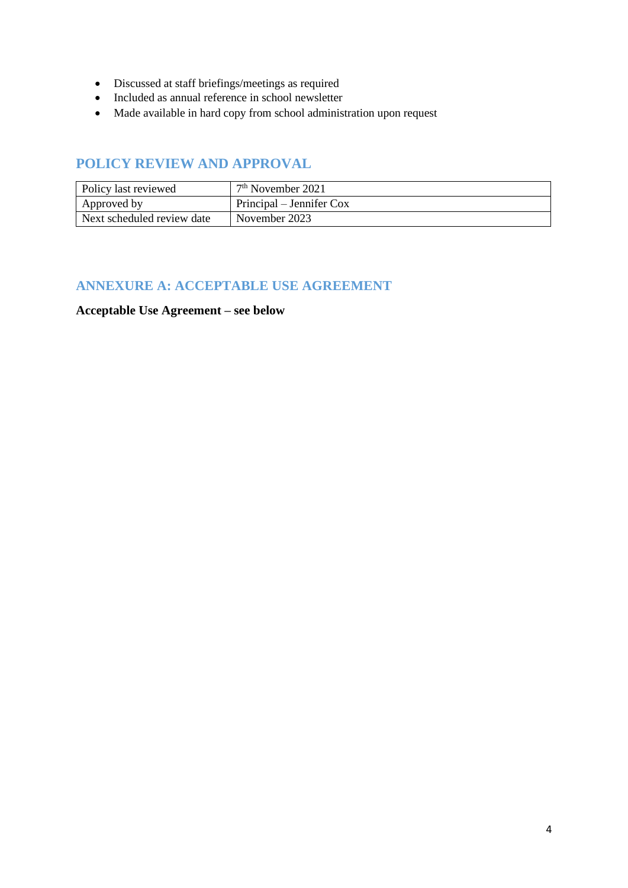- Discussed at staff briefings/meetings as required
- Included as annual reference in school newsletter
- Made available in hard copy from school administration upon request

### **POLICY REVIEW AND APPROVAL**

| Policy last reviewed       | $7th$ November 2021      |
|----------------------------|--------------------------|
| Approved by                | Principal – Jennifer Cox |
| Next scheduled review date | November 2023            |

### **ANNEXURE A: ACCEPTABLE USE AGREEMENT**

#### **Acceptable Use Agreement – see below**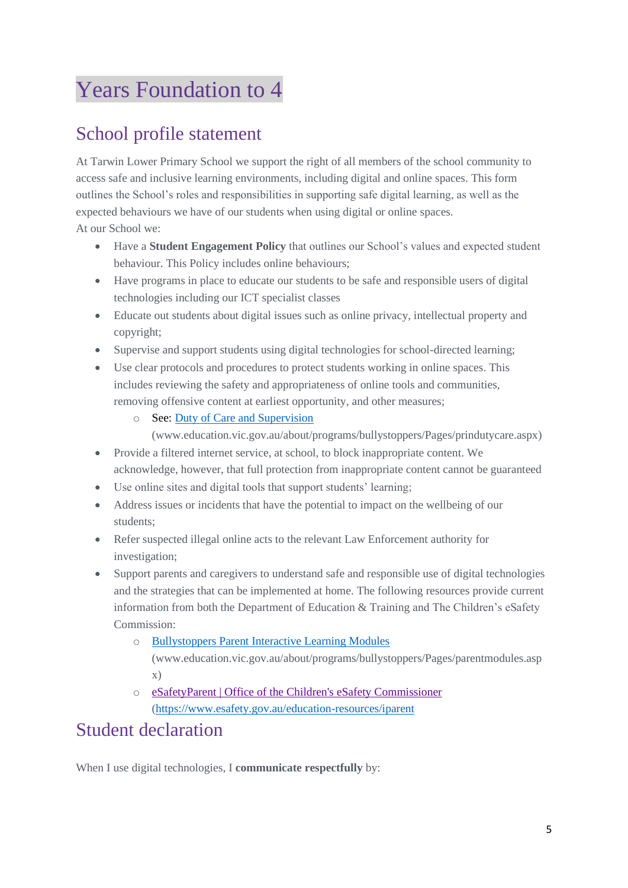# Years Foundation to 4

# School profile statement

At Tarwin Lower Primary School we support the right of all members of the school community to access safe and inclusive learning environments, including digital and online spaces. This form outlines the School's roles and responsibilities in supporting safe digital learning, as well as the expected behaviours we have of our students when using digital or online spaces.

At our School we:

- Have a **Student Engagement Policy** that outlines our School's values and expected student behaviour. This Policy includes online behaviours;
- Have programs in place to educate our students to be safe and responsible users of digital technologies including our ICT specialist classes
- Educate out students about digital issues such as online privacy, intellectual property and copyright;
- Supervise and support students using digital technologies for school-directed learning;
- Use clear protocols and procedures to protect students working in online spaces. This includes reviewing the safety and appropriateness of online tools and communities, removing offensive content at earliest opportunity, and other measures;
	- o See[: Duty of Care and Supervision](http://www.education.vic.gov.au/about/programs/bullystoppers/Pages/prindutycare.aspx) 
		- [\(www.education.vic.gov.au/about/programs/bullystoppers/Pages/prindutycare.aspx\)](http://www.education.vic.gov.au/about/programs/bullystoppers/Pages/prindutycare.aspx)
- Provide a filtered internet service, at school, to block inappropriate content. We acknowledge, however, that full protection from inappropriate content cannot be guaranteed
- Use online sites and digital tools that support students' learning;
- Address issues or incidents that have the potential to impact on the wellbeing of our students;
- Refer suspected illegal online acts to the relevant Law Enforcement authority for investigation;
- Support parents and caregivers to understand safe and responsible use of digital technologies and the strategies that can be implemented at home. The following resources provide current information from both the [Department of Education & Training](http://www.education.vic.gov.au/about/programs/bullystoppers/Pages/parentmodules.aspx) and The Children's eSafety Commission:
	- o [Bullystoppers Parent Interactive Learning Modules](http://www.education.vic.gov.au/about/programs/bullystoppers/Pages/parentmodules.aspx) [\(www.education.vic.gov.au/about/programs/bullystoppers/Pages/parentmodules.asp](http://www.education.vic.gov.au/about/programs/bullystoppers/Pages/parentmodules.aspx) [x\)](http://www.education.vic.gov.au/about/programs/bullystoppers/Pages/parentmodules.aspx)
	- o [eSafetyParent | Office of the Children's eSafety Commissioner](https://www.esafety.gov.au/education-resources/iparent) [\(https://www.esafety.gov.au/education-resources/iparent](https://www.esafety.gov.au/education-resources/iparent)

# Student declaration

When I use digital technologies, I **communicate respectfully** by: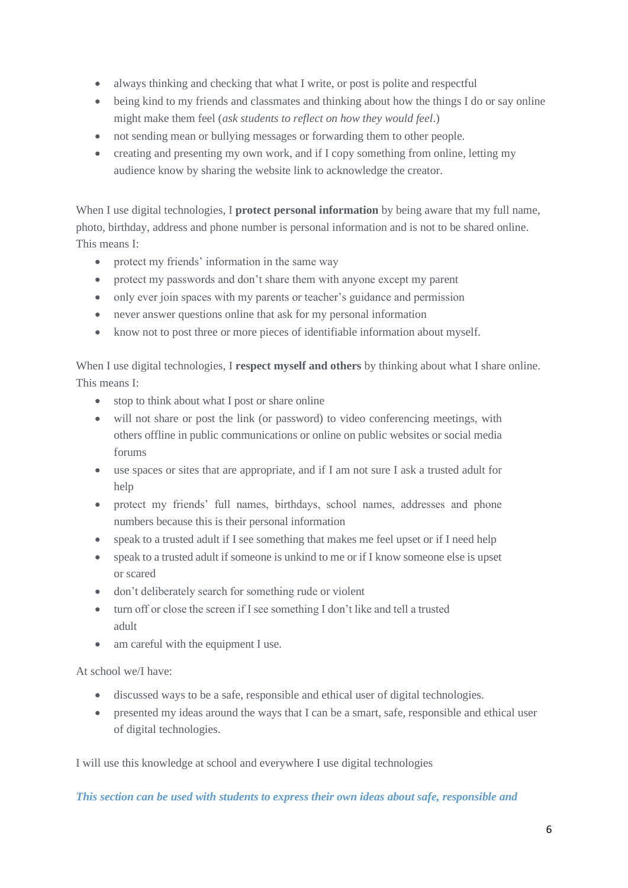- always thinking and checking that what I write, or post is polite and respectful
- being kind to my friends and classmates and thinking about how the things I do or say online might make them feel (*ask students to reflect on how they would feel*.)
- not sending mean or bullying messages or forwarding them to other people.
- creating and presenting my own work, and if I copy something from online, letting my audience know by sharing the website link to acknowledge the creator.

When I use digital technologies, I **protect personal information** by being aware that my full name, photo, birthday, address and phone number is personal information and is not to be shared online. This means I:

- protect my friends' information in the same way
- protect my passwords and don't share them with anyone except my parent
- only ever join spaces with my parents or teacher's guidance and permission
- never answer questions online that ask for my personal information
- know not to post three or more pieces of identifiable information about myself.

When I use digital technologies, I **respect myself and others** by thinking about what I share online. This means I:

- stop to think about what I post or share online
- will not share or post the link (or password) to video conferencing meetings, with others offline in public communications or online on public websites or social media forums
- use spaces or sites that are appropriate, and if I am not sure I ask a trusted adult for help
- protect my friends' full names, birthdays, school names, addresses and phone numbers because this is their personal information
- speak to a trusted adult if I see something that makes me feel upset or if I need help
- speak to a trusted adult if someone is unkind to me or if I know someone else is upset or scared
- don't deliberately search for something rude or violent
- turn off or close the screen if I see something I don't like and tell a trusted adult
- am careful with the equipment I use.

At school we/I have:

- discussed ways to be a safe, responsible and ethical user of digital technologies.
- presented my ideas around the ways that I can be a smart, safe, responsible and ethical user of digital technologies.

I will use this knowledge at school and everywhere I use digital technologies

*This section can be used with students to express their own ideas about safe, responsible and*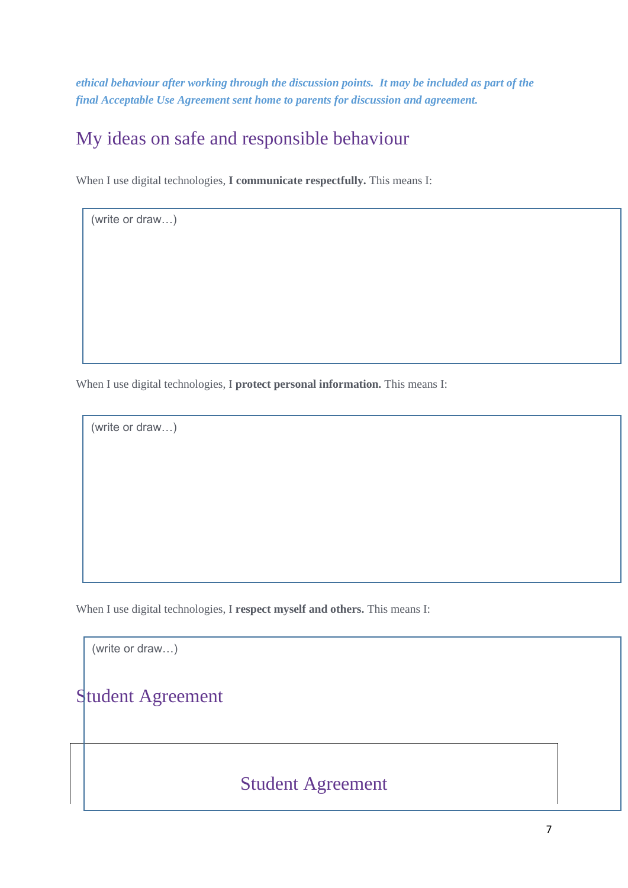*ethical behaviour after working through the discussion points. It may be included as part of the final Acceptable Use Agreement sent home to parents for discussion and agreement.* 

# My ideas on safe and responsible behaviour

When I use digital technologies, **I communicate respectfully.** This means I:

When I use digital technologies, I **protect personal information.** This means I:

(write or draw…)

(write or draw…)

When I use digital technologies, I **respect myself and others.** This means I:

(write or draw…)

## Student Agreement

### Student Agreement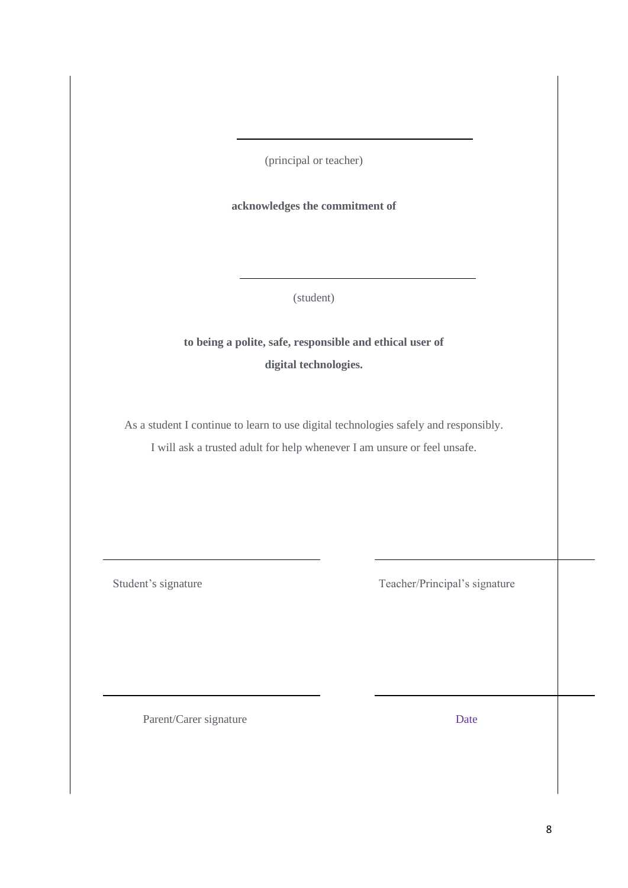(principal or teacher)

#### **acknowledges the commitment of**

(student)

**to being a polite, safe, responsible and ethical user of digital technologies.**

As a student I continue to learn to use digital technologies safely and responsibly.

I will ask a trusted adult for help whenever I am unsure or feel unsafe.

Student's signature Teacher/Principal's signature

Parent/Carer signature Date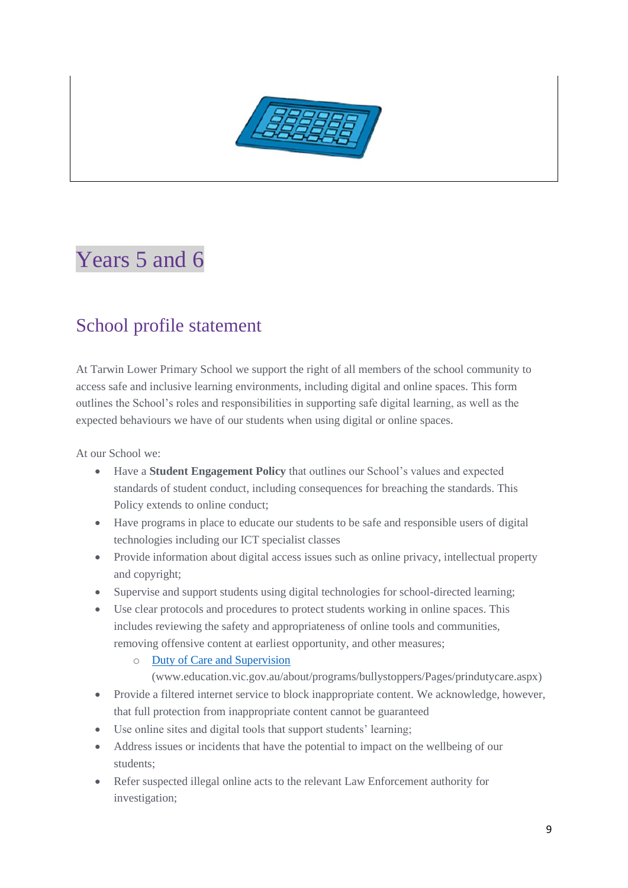

# Years 5 and 6

# School profile statement

At Tarwin Lower Primary School we support the right of all members of the school community to access safe and inclusive learning environments, including digital and online spaces. This form outlines the School's roles and responsibilities in supporting safe digital learning, as well as the expected behaviours we have of our students when using digital or online spaces.

At our School we:

- Have a **Student Engagement Policy** that outlines our School's values and expected standards of student conduct, including consequences for breaching the standards. This Policy extends to online conduct;
- Have programs in place to educate our students to be safe and responsible users of digital technologies including our ICT specialist classes
- Provide information about digital access issues such as online privacy, intellectual property and copyright;
- Supervise and support students using digital technologies for school-directed learning;
- Use clear protocols and procedures to protect students working in online spaces. This includes reviewing the safety and appropriateness of online tools and communities, removing offensive content at earliest opportunity, and other measures;
	- o [Duty of Care and Supervision](http://www.education.vic.gov.au/about/programs/bullystoppers/Pages/prindutycare.aspx) 
		- [\(www.education.vic.gov.au/about/programs/bullystoppers/Pages/prindutycare.aspx\)](http://www.education.vic.gov.au/about/programs/bullystoppers/Pages/prindutycare.aspx)
- Provide a filtered internet service to block inappropriate content. We acknowledge, however, that full protection from inappropriate content cannot be guaranteed
- Use online sites and digital tools that support students' learning;
- Address issues or incidents that have the potential to impact on the wellbeing of our students;
- Refer suspected illegal online acts to the relevant Law Enforcement authority for investigation;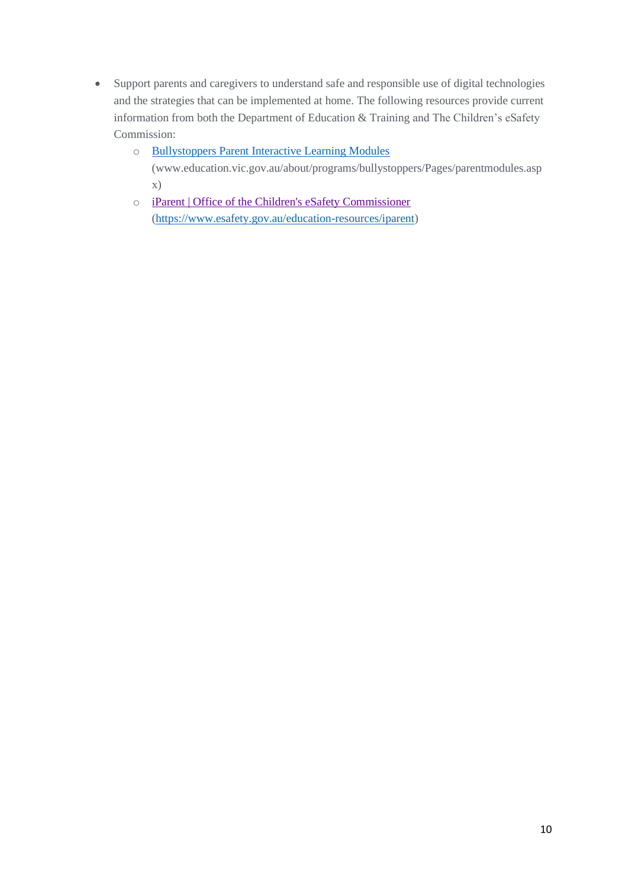- Support parents and caregivers to understand safe and responsible use of digital technologies and the strategies that can be implemented at home. The following resources provide current information from both the [Department of Education & Training](http://www.education.vic.gov.au/about/programs/bullystoppers/Pages/parentmodules.aspx) and The Children's eSafety Commission:
	- o [Bullystoppers Parent Interactive Learning Modules](http://www.education.vic.gov.au/about/programs/bullystoppers/Pages/parentmodules.aspx)

[\(www.education.vic.gov.au/about/programs/bullystoppers/Pages/parentmodules.asp](http://www.education.vic.gov.au/about/programs/bullystoppers/Pages/parentmodules.aspx) [x\)](http://www.education.vic.gov.au/about/programs/bullystoppers/Pages/parentmodules.aspx)

o [iParent | Office of the Children's eSafety Commissioner](https://www.esafety.gov.au/education-resources/iparent) [\(https://www.esafety.gov.au/education-resources/iparent\)](https://www.esafety.gov.au/education-resources/iparent)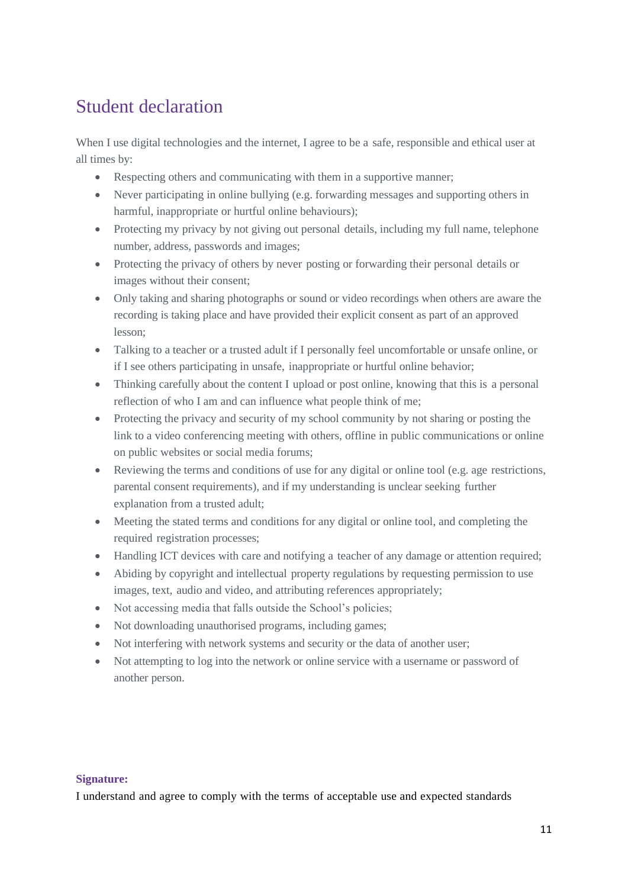# Student declaration

When I use digital technologies and the internet, I agree to be a safe, responsible and ethical user at all times by:

- Respecting others and communicating with them in a supportive manner;
- Never participating in online bullying (e.g. forwarding messages and supporting others in harmful, inappropriate or hurtful online behaviours);
- Protecting my privacy by not giving out personal details, including my full name, telephone number, address, passwords and images;
- Protecting the privacy of others by never posting or forwarding their personal details or images without their consent;
- Only taking and sharing photographs or sound or video recordings when others are aware the recording is taking place and have provided their explicit consent as part of an approved lesson;
- Talking to a teacher or a trusted adult if I personally feel uncomfortable or unsafe online, or if I see others participating in unsafe, inappropriate or hurtful online behavior;
- Thinking carefully about the content I upload or post online, knowing that this is a personal reflection of who I am and can influence what people think of me;
- Protecting the privacy and security of my school community by not sharing or posting the link to a video conferencing meeting with others, offline in public communications or online on public websites or social media forums;
- Reviewing the terms and conditions of use for any digital or online tool (e.g. age restrictions, parental consent requirements), and if my understanding is unclear seeking further explanation from a trusted adult;
- Meeting the stated terms and conditions for any digital or online tool, and completing the required registration processes;
- Handling ICT devices with care and notifying a teacher of any damage or attention required;
- Abiding by copyright and intellectual property regulations by requesting permission to use images, text, audio and video, and attributing references appropriately;
- Not accessing media that falls outside the School's policies;
- Not downloading unauthorised programs, including games;
- Not interfering with network systems and security or the data of another user;
- Not attempting to log into the network or online service with a username or password of another person.

#### **Signature:**

I understand and agree to comply with the terms of acceptable use and expected standards